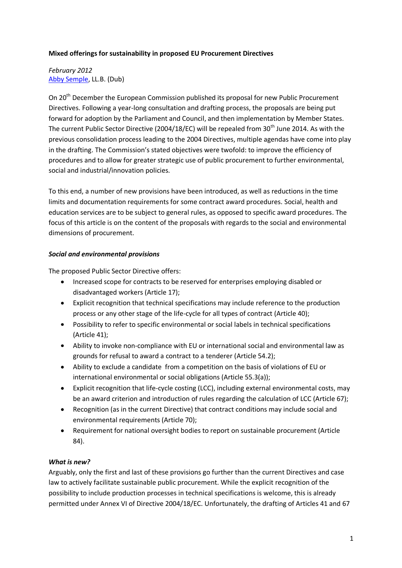### **Mixed offerings for sustainability in proposed EU Procurement Directives**

*February 2012* [Abby Semple,](mailto:abby.semple@gmail.com) LL.B. (Dub)

On 20<sup>th</sup> December the European Commission published its proposal for new Public Procurement Directives. Following a year-long consultation and drafting process, the proposals are being put forward for adoption by the Parliament and Council, and then implementation by Member States. The current Public Sector Directive (2004/18/EC) will be repealed from 30<sup>th</sup> June 2014. As with the previous consolidation process leading to the 2004 Directives, multiple agendas have come into play in the drafting. The Commission's stated objectives were twofold: to improve the efficiency of procedures and to allow for greater strategic use of public procurement to further environmental, social and industrial/innovation policies.

To this end, a number of new provisions have been introduced, as well as reductions in the time limits and documentation requirements for some contract award procedures. Social, health and education services are to be subject to general rules, as opposed to specific award procedures. The focus of this article is on the content of the proposals with regards to the social and environmental dimensions of procurement.

### *Social and environmental provisions*

The proposed Public Sector Directive offers:

- Increased scope for contracts to be reserved for enterprises employing disabled or disadvantaged workers (Article 17);
- Explicit recognition that technical specifications may include reference to the production process or any other stage of the life-cycle for all types of contract (Article 40);
- Possibility to refer to specific environmental or social labels in technical specifications (Article 41);
- Ability to invoke non-compliance with EU or international social and environmental law as grounds for refusal to award a contract to a tenderer (Article 54.2);
- $\bullet$ Ability to exclude a candidate from a competition on the basis of violations of EU or international environmental or social obligations (Article 55.3(a));
- $\bullet$ Explicit recognition that life-cycle costing (LCC), including external environmental costs, may be an award criterion and introduction of rules regarding the calculation of LCC (Article 67);
- Recognition (as in the current Directive) that contract conditions may include social and  $\bullet$ environmental requirements (Article 70);
- Requirement for national oversight bodies to report on sustainable procurement (Article  $\bullet$ 84).

# *What is new?*

Arguably, only the first and last of these provisions go further than the current Directives and case law to actively facilitate sustainable public procurement. While the explicit recognition of the possibility to include production processes in technical specifications is welcome, this is already permitted under Annex VI of Directive 2004/18/EC. Unfortunately, the drafting of Articles 41 and 67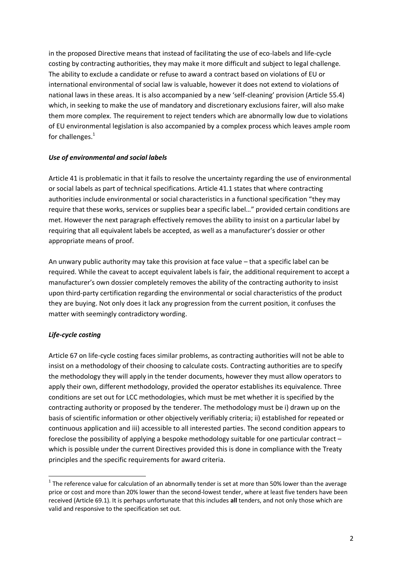in the proposed Directive means that instead of facilitating the use of eco-labels and life-cycle costing by contracting authorities, they may make it more difficult and subject to legal challenge. The ability to exclude a candidate or refuse to award a contract based on violations of EU or international environmental of social law is valuable, however it does not extend to violations of national laws in these areas. It is also accompanied by a new 'self-cleaning' provision (Article 55.4) which, in seeking to make the use of mandatory and discretionary exclusions fairer, will also make them more complex. The requirement to reject tenders which are abnormally low due to violations of EU environmental legislation is also accompanied by a complex process which leaves ample room for challenges. $<sup>1</sup>$ </sup>

# *Use of environmental and social labels*

Article 41 is problematic in that it fails to resolve the uncertainty regarding the use of environmental or social labels as part of technical specifications. Article 41.1 states that where contracting authorities include environmental or social characteristics in a functional specification "they may require that these works, services or supplies bear a specific label…" provided certain conditions are met. However the next paragraph effectively removes the ability to insist on a particular label by requiring that all equivalent labels be accepted, as well as a manufacturer's dossier or other appropriate means of proof.

An unwary public authority may take this provision at face value – that a specific label can be required. While the caveat to accept equivalent labels is fair, the additional requirement to accept a manufacturer's own dossier completely removes the ability of the contracting authority to insist upon third-party certification regarding the environmental or social characteristics of the product they are buying. Not only does it lack any progression from the current position, it confuses the matter with seemingly contradictory wording.

# *Life-cycle costing*

**.** 

Article 67 on life-cycle costing faces similar problems, as contracting authorities will not be able to insist on a methodology of their choosing to calculate costs. Contracting authorities are to specify the methodology they will apply in the tender documents, however they must allow operators to apply their own, different methodology, provided the operator establishes its equivalence. Three conditions are set out for LCC methodologies, which must be met whether it is specified by the contracting authority or proposed by the tenderer. The methodology must be i) drawn up on the basis of scientific information or other objectively verifiably criteria; ii) established for repeated or continuous application and iii) accessible to all interested parties. The second condition appears to foreclose the possibility of applying a bespoke methodology suitable for one particular contract – which is possible under the current Directives provided this is done in compliance with the Treaty principles and the specific requirements for award criteria.

 $1$  The reference value for calculation of an abnormally tender is set at more than 50% lower than the average price or cost and more than 20% lower than the second-lowest tender, where at least five tenders have been received (Article 69.1). It is perhaps unfortunate that this includes **all** tenders, and not only those which are valid and responsive to the specification set out.